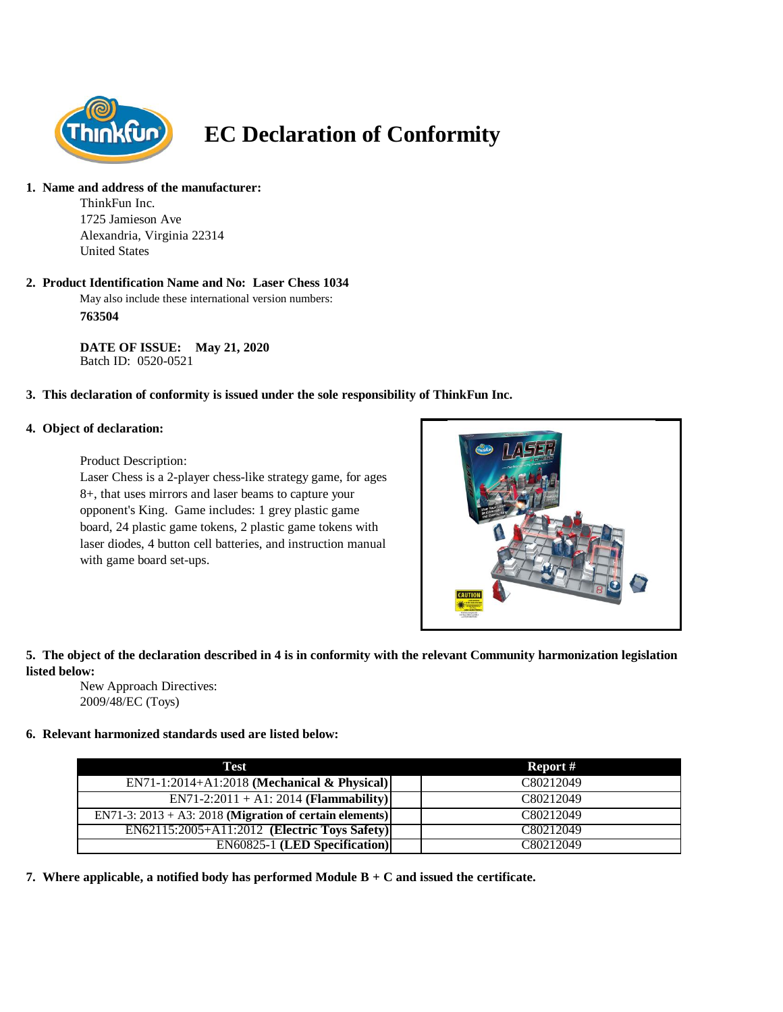

# **EC Declaration of Conformity**

# **1. Name and address of the manufacturer:**

ThinkFun Inc. 1725 Jamieson Ave Alexandria, Virginia 22314 United States

#### **2. Product Identification Name and No: Laser Chess 1034**

May also include these international version numbers: **763504**

**DATE OF ISSUE: May 21, 2020** Batch ID: 0520-0521

# **3. This declaration of conformity is issued under the sole responsibility of ThinkFun Inc.**

#### **4. Object of declaration:**

Product Description:

Laser Chess is a 2-player chess-like strategy game, for ages 8+, that uses mirrors and laser beams to capture your opponent's King. Game includes: 1 grey plastic game board, 24 plastic game tokens, 2 plastic game tokens with laser diodes, 4 button cell batteries, and instruction manual with game board set-ups.



# **5. The object of the declaration described in 4 is in conformity with the relevant Community harmonization legislation listed below:**

New Approach Directives: 2009/48/EC (Toys)

# **6. Relevant harmonized standards used are listed below:**

| Test                                                       | Report #  |
|------------------------------------------------------------|-----------|
| EN71-1:2014+A1:2018 (Mechanical & Physical)                | C80212049 |
| $EN71-2:2011 + A1:2014 (Flammaibility)$                    | C80212049 |
| EN71-3: $2013 + A3$ : 2018 (Migration of certain elements) | C80212049 |
| EN62115:2005+A11:2012 (Electric Toys Safety)               | C80212049 |
| <b>EN60825-1 (LED Specification)</b>                       | C80212049 |

**7. Where applicable, a notified body has performed Module B + C and issued the certificate.**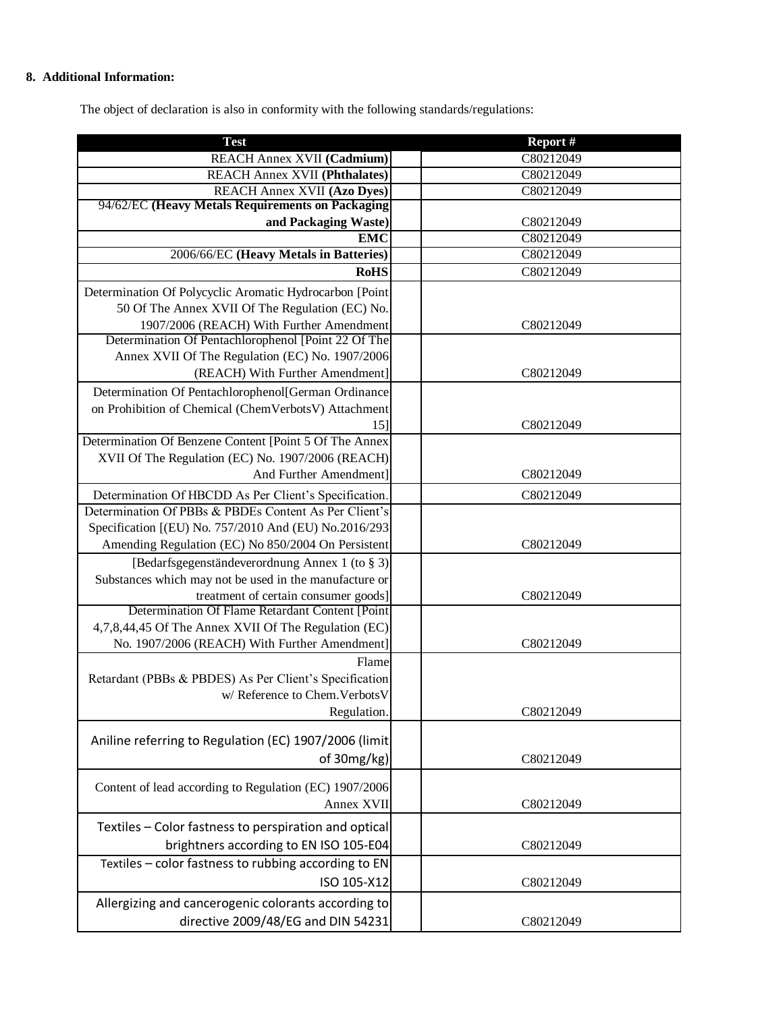# **8. Additional Information:**

The object of declaration is also in conformity with the following standards/regulations:

| C80212049<br>REACH Annex XVII (Cadmium)<br><b>REACH Annex XVII (Phthalates)</b><br>C80212049<br><b>REACH Annex XVII (Azo Dyes)</b><br>C80212049<br>94/62/EC (Heavy Metals Requirements on Packaging<br>and Packaging Waste)<br>C80212049<br><b>EMC</b><br>C80212049<br>2006/66/EC (Heavy Metals in Batteries)<br>C80212049<br><b>RoHS</b><br>C80212049<br>Determination Of Polycyclic Aromatic Hydrocarbon [Point<br>50 Of The Annex XVII Of The Regulation (EC) No.<br>1907/2006 (REACH) With Further Amendment<br>C80212049<br>Determination Of Pentachlorophenol [Point 22 Of The<br>Annex XVII Of The Regulation (EC) No. 1907/2006<br>(REACH) With Further Amendment]<br>C80212049<br>Determination Of Pentachlorophenol[German Ordinance<br>on Prohibition of Chemical (ChemVerbotsV) Attachment<br>C80212049<br>15]<br>Determination Of Benzene Content [Point 5 Of The Annex<br>XVII Of The Regulation (EC) No. 1907/2006 (REACH)<br>And Further Amendment]<br>C80212049<br>Determination Of HBCDD As Per Client's Specification.<br>C80212049<br>Determination Of PBBs & PBDEs Content As Per Client's<br>Specification [(EU) No. 757/2010 And (EU) No.2016/293<br>Amending Regulation (EC) No 850/2004 On Persistent<br>C80212049<br>[Bedarfsgegenständeverordnung Annex 1 (to § 3)]<br>Substances which may not be used in the manufacture or<br>treatment of certain consumer goods]<br>C80212049<br>Determination Of Flame Retardant Content [Point<br>4,7,8,44,45 Of The Annex XVII Of The Regulation (EC)<br>No. 1907/2006 (REACH) With Further Amendment]<br>C80212049<br>Flame<br>Retardant (PBBs & PBDES) As Per Client's Specification<br>w/ Reference to Chem. Verbots V<br>C80212049<br>Regulation.<br>Aniline referring to Regulation (EC) 1907/2006 (limit<br>of 30mg/kg)<br>C80212049<br>Content of lead according to Regulation (EC) 1907/2006<br>Annex XVII<br>C80212049<br>Textiles - Color fastness to perspiration and optical<br>brightners according to EN ISO 105-E04<br>C80212049<br>Textiles - color fastness to rubbing according to EN<br>ISO 105-X12<br>C80212049 | <b>Test</b>                                         | Report # |
|--------------------------------------------------------------------------------------------------------------------------------------------------------------------------------------------------------------------------------------------------------------------------------------------------------------------------------------------------------------------------------------------------------------------------------------------------------------------------------------------------------------------------------------------------------------------------------------------------------------------------------------------------------------------------------------------------------------------------------------------------------------------------------------------------------------------------------------------------------------------------------------------------------------------------------------------------------------------------------------------------------------------------------------------------------------------------------------------------------------------------------------------------------------------------------------------------------------------------------------------------------------------------------------------------------------------------------------------------------------------------------------------------------------------------------------------------------------------------------------------------------------------------------------------------------------------------------------------------------------------------------------------------------------------------------------------------------------------------------------------------------------------------------------------------------------------------------------------------------------------------------------------------------------------------------------------------------------------------------------------------------------------------------------------------------------------------------------------------------|-----------------------------------------------------|----------|
|                                                                                                                                                                                                                                                                                                                                                                                                                                                                                                                                                                                                                                                                                                                                                                                                                                                                                                                                                                                                                                                                                                                                                                                                                                                                                                                                                                                                                                                                                                                                                                                                                                                                                                                                                                                                                                                                                                                                                                                                                                                                                                        |                                                     |          |
|                                                                                                                                                                                                                                                                                                                                                                                                                                                                                                                                                                                                                                                                                                                                                                                                                                                                                                                                                                                                                                                                                                                                                                                                                                                                                                                                                                                                                                                                                                                                                                                                                                                                                                                                                                                                                                                                                                                                                                                                                                                                                                        |                                                     |          |
|                                                                                                                                                                                                                                                                                                                                                                                                                                                                                                                                                                                                                                                                                                                                                                                                                                                                                                                                                                                                                                                                                                                                                                                                                                                                                                                                                                                                                                                                                                                                                                                                                                                                                                                                                                                                                                                                                                                                                                                                                                                                                                        |                                                     |          |
|                                                                                                                                                                                                                                                                                                                                                                                                                                                                                                                                                                                                                                                                                                                                                                                                                                                                                                                                                                                                                                                                                                                                                                                                                                                                                                                                                                                                                                                                                                                                                                                                                                                                                                                                                                                                                                                                                                                                                                                                                                                                                                        |                                                     |          |
|                                                                                                                                                                                                                                                                                                                                                                                                                                                                                                                                                                                                                                                                                                                                                                                                                                                                                                                                                                                                                                                                                                                                                                                                                                                                                                                                                                                                                                                                                                                                                                                                                                                                                                                                                                                                                                                                                                                                                                                                                                                                                                        |                                                     |          |
|                                                                                                                                                                                                                                                                                                                                                                                                                                                                                                                                                                                                                                                                                                                                                                                                                                                                                                                                                                                                                                                                                                                                                                                                                                                                                                                                                                                                                                                                                                                                                                                                                                                                                                                                                                                                                                                                                                                                                                                                                                                                                                        |                                                     |          |
|                                                                                                                                                                                                                                                                                                                                                                                                                                                                                                                                                                                                                                                                                                                                                                                                                                                                                                                                                                                                                                                                                                                                                                                                                                                                                                                                                                                                                                                                                                                                                                                                                                                                                                                                                                                                                                                                                                                                                                                                                                                                                                        |                                                     |          |
|                                                                                                                                                                                                                                                                                                                                                                                                                                                                                                                                                                                                                                                                                                                                                                                                                                                                                                                                                                                                                                                                                                                                                                                                                                                                                                                                                                                                                                                                                                                                                                                                                                                                                                                                                                                                                                                                                                                                                                                                                                                                                                        |                                                     |          |
|                                                                                                                                                                                                                                                                                                                                                                                                                                                                                                                                                                                                                                                                                                                                                                                                                                                                                                                                                                                                                                                                                                                                                                                                                                                                                                                                                                                                                                                                                                                                                                                                                                                                                                                                                                                                                                                                                                                                                                                                                                                                                                        |                                                     |          |
|                                                                                                                                                                                                                                                                                                                                                                                                                                                                                                                                                                                                                                                                                                                                                                                                                                                                                                                                                                                                                                                                                                                                                                                                                                                                                                                                                                                                                                                                                                                                                                                                                                                                                                                                                                                                                                                                                                                                                                                                                                                                                                        |                                                     |          |
|                                                                                                                                                                                                                                                                                                                                                                                                                                                                                                                                                                                                                                                                                                                                                                                                                                                                                                                                                                                                                                                                                                                                                                                                                                                                                                                                                                                                                                                                                                                                                                                                                                                                                                                                                                                                                                                                                                                                                                                                                                                                                                        |                                                     |          |
|                                                                                                                                                                                                                                                                                                                                                                                                                                                                                                                                                                                                                                                                                                                                                                                                                                                                                                                                                                                                                                                                                                                                                                                                                                                                                                                                                                                                                                                                                                                                                                                                                                                                                                                                                                                                                                                                                                                                                                                                                                                                                                        |                                                     |          |
|                                                                                                                                                                                                                                                                                                                                                                                                                                                                                                                                                                                                                                                                                                                                                                                                                                                                                                                                                                                                                                                                                                                                                                                                                                                                                                                                                                                                                                                                                                                                                                                                                                                                                                                                                                                                                                                                                                                                                                                                                                                                                                        |                                                     |          |
|                                                                                                                                                                                                                                                                                                                                                                                                                                                                                                                                                                                                                                                                                                                                                                                                                                                                                                                                                                                                                                                                                                                                                                                                                                                                                                                                                                                                                                                                                                                                                                                                                                                                                                                                                                                                                                                                                                                                                                                                                                                                                                        |                                                     |          |
|                                                                                                                                                                                                                                                                                                                                                                                                                                                                                                                                                                                                                                                                                                                                                                                                                                                                                                                                                                                                                                                                                                                                                                                                                                                                                                                                                                                                                                                                                                                                                                                                                                                                                                                                                                                                                                                                                                                                                                                                                                                                                                        |                                                     |          |
|                                                                                                                                                                                                                                                                                                                                                                                                                                                                                                                                                                                                                                                                                                                                                                                                                                                                                                                                                                                                                                                                                                                                                                                                                                                                                                                                                                                                                                                                                                                                                                                                                                                                                                                                                                                                                                                                                                                                                                                                                                                                                                        |                                                     |          |
|                                                                                                                                                                                                                                                                                                                                                                                                                                                                                                                                                                                                                                                                                                                                                                                                                                                                                                                                                                                                                                                                                                                                                                                                                                                                                                                                                                                                                                                                                                                                                                                                                                                                                                                                                                                                                                                                                                                                                                                                                                                                                                        |                                                     |          |
|                                                                                                                                                                                                                                                                                                                                                                                                                                                                                                                                                                                                                                                                                                                                                                                                                                                                                                                                                                                                                                                                                                                                                                                                                                                                                                                                                                                                                                                                                                                                                                                                                                                                                                                                                                                                                                                                                                                                                                                                                                                                                                        |                                                     |          |
|                                                                                                                                                                                                                                                                                                                                                                                                                                                                                                                                                                                                                                                                                                                                                                                                                                                                                                                                                                                                                                                                                                                                                                                                                                                                                                                                                                                                                                                                                                                                                                                                                                                                                                                                                                                                                                                                                                                                                                                                                                                                                                        |                                                     |          |
|                                                                                                                                                                                                                                                                                                                                                                                                                                                                                                                                                                                                                                                                                                                                                                                                                                                                                                                                                                                                                                                                                                                                                                                                                                                                                                                                                                                                                                                                                                                                                                                                                                                                                                                                                                                                                                                                                                                                                                                                                                                                                                        |                                                     |          |
|                                                                                                                                                                                                                                                                                                                                                                                                                                                                                                                                                                                                                                                                                                                                                                                                                                                                                                                                                                                                                                                                                                                                                                                                                                                                                                                                                                                                                                                                                                                                                                                                                                                                                                                                                                                                                                                                                                                                                                                                                                                                                                        |                                                     |          |
|                                                                                                                                                                                                                                                                                                                                                                                                                                                                                                                                                                                                                                                                                                                                                                                                                                                                                                                                                                                                                                                                                                                                                                                                                                                                                                                                                                                                                                                                                                                                                                                                                                                                                                                                                                                                                                                                                                                                                                                                                                                                                                        |                                                     |          |
|                                                                                                                                                                                                                                                                                                                                                                                                                                                                                                                                                                                                                                                                                                                                                                                                                                                                                                                                                                                                                                                                                                                                                                                                                                                                                                                                                                                                                                                                                                                                                                                                                                                                                                                                                                                                                                                                                                                                                                                                                                                                                                        |                                                     |          |
|                                                                                                                                                                                                                                                                                                                                                                                                                                                                                                                                                                                                                                                                                                                                                                                                                                                                                                                                                                                                                                                                                                                                                                                                                                                                                                                                                                                                                                                                                                                                                                                                                                                                                                                                                                                                                                                                                                                                                                                                                                                                                                        |                                                     |          |
|                                                                                                                                                                                                                                                                                                                                                                                                                                                                                                                                                                                                                                                                                                                                                                                                                                                                                                                                                                                                                                                                                                                                                                                                                                                                                                                                                                                                                                                                                                                                                                                                                                                                                                                                                                                                                                                                                                                                                                                                                                                                                                        |                                                     |          |
|                                                                                                                                                                                                                                                                                                                                                                                                                                                                                                                                                                                                                                                                                                                                                                                                                                                                                                                                                                                                                                                                                                                                                                                                                                                                                                                                                                                                                                                                                                                                                                                                                                                                                                                                                                                                                                                                                                                                                                                                                                                                                                        |                                                     |          |
|                                                                                                                                                                                                                                                                                                                                                                                                                                                                                                                                                                                                                                                                                                                                                                                                                                                                                                                                                                                                                                                                                                                                                                                                                                                                                                                                                                                                                                                                                                                                                                                                                                                                                                                                                                                                                                                                                                                                                                                                                                                                                                        |                                                     |          |
|                                                                                                                                                                                                                                                                                                                                                                                                                                                                                                                                                                                                                                                                                                                                                                                                                                                                                                                                                                                                                                                                                                                                                                                                                                                                                                                                                                                                                                                                                                                                                                                                                                                                                                                                                                                                                                                                                                                                                                                                                                                                                                        |                                                     |          |
|                                                                                                                                                                                                                                                                                                                                                                                                                                                                                                                                                                                                                                                                                                                                                                                                                                                                                                                                                                                                                                                                                                                                                                                                                                                                                                                                                                                                                                                                                                                                                                                                                                                                                                                                                                                                                                                                                                                                                                                                                                                                                                        |                                                     |          |
|                                                                                                                                                                                                                                                                                                                                                                                                                                                                                                                                                                                                                                                                                                                                                                                                                                                                                                                                                                                                                                                                                                                                                                                                                                                                                                                                                                                                                                                                                                                                                                                                                                                                                                                                                                                                                                                                                                                                                                                                                                                                                                        |                                                     |          |
|                                                                                                                                                                                                                                                                                                                                                                                                                                                                                                                                                                                                                                                                                                                                                                                                                                                                                                                                                                                                                                                                                                                                                                                                                                                                                                                                                                                                                                                                                                                                                                                                                                                                                                                                                                                                                                                                                                                                                                                                                                                                                                        |                                                     |          |
|                                                                                                                                                                                                                                                                                                                                                                                                                                                                                                                                                                                                                                                                                                                                                                                                                                                                                                                                                                                                                                                                                                                                                                                                                                                                                                                                                                                                                                                                                                                                                                                                                                                                                                                                                                                                                                                                                                                                                                                                                                                                                                        |                                                     |          |
|                                                                                                                                                                                                                                                                                                                                                                                                                                                                                                                                                                                                                                                                                                                                                                                                                                                                                                                                                                                                                                                                                                                                                                                                                                                                                                                                                                                                                                                                                                                                                                                                                                                                                                                                                                                                                                                                                                                                                                                                                                                                                                        |                                                     |          |
|                                                                                                                                                                                                                                                                                                                                                                                                                                                                                                                                                                                                                                                                                                                                                                                                                                                                                                                                                                                                                                                                                                                                                                                                                                                                                                                                                                                                                                                                                                                                                                                                                                                                                                                                                                                                                                                                                                                                                                                                                                                                                                        |                                                     |          |
|                                                                                                                                                                                                                                                                                                                                                                                                                                                                                                                                                                                                                                                                                                                                                                                                                                                                                                                                                                                                                                                                                                                                                                                                                                                                                                                                                                                                                                                                                                                                                                                                                                                                                                                                                                                                                                                                                                                                                                                                                                                                                                        |                                                     |          |
|                                                                                                                                                                                                                                                                                                                                                                                                                                                                                                                                                                                                                                                                                                                                                                                                                                                                                                                                                                                                                                                                                                                                                                                                                                                                                                                                                                                                                                                                                                                                                                                                                                                                                                                                                                                                                                                                                                                                                                                                                                                                                                        |                                                     |          |
|                                                                                                                                                                                                                                                                                                                                                                                                                                                                                                                                                                                                                                                                                                                                                                                                                                                                                                                                                                                                                                                                                                                                                                                                                                                                                                                                                                                                                                                                                                                                                                                                                                                                                                                                                                                                                                                                                                                                                                                                                                                                                                        |                                                     |          |
|                                                                                                                                                                                                                                                                                                                                                                                                                                                                                                                                                                                                                                                                                                                                                                                                                                                                                                                                                                                                                                                                                                                                                                                                                                                                                                                                                                                                                                                                                                                                                                                                                                                                                                                                                                                                                                                                                                                                                                                                                                                                                                        |                                                     |          |
|                                                                                                                                                                                                                                                                                                                                                                                                                                                                                                                                                                                                                                                                                                                                                                                                                                                                                                                                                                                                                                                                                                                                                                                                                                                                                                                                                                                                                                                                                                                                                                                                                                                                                                                                                                                                                                                                                                                                                                                                                                                                                                        |                                                     |          |
|                                                                                                                                                                                                                                                                                                                                                                                                                                                                                                                                                                                                                                                                                                                                                                                                                                                                                                                                                                                                                                                                                                                                                                                                                                                                                                                                                                                                                                                                                                                                                                                                                                                                                                                                                                                                                                                                                                                                                                                                                                                                                                        |                                                     |          |
|                                                                                                                                                                                                                                                                                                                                                                                                                                                                                                                                                                                                                                                                                                                                                                                                                                                                                                                                                                                                                                                                                                                                                                                                                                                                                                                                                                                                                                                                                                                                                                                                                                                                                                                                                                                                                                                                                                                                                                                                                                                                                                        |                                                     |          |
|                                                                                                                                                                                                                                                                                                                                                                                                                                                                                                                                                                                                                                                                                                                                                                                                                                                                                                                                                                                                                                                                                                                                                                                                                                                                                                                                                                                                                                                                                                                                                                                                                                                                                                                                                                                                                                                                                                                                                                                                                                                                                                        |                                                     |          |
|                                                                                                                                                                                                                                                                                                                                                                                                                                                                                                                                                                                                                                                                                                                                                                                                                                                                                                                                                                                                                                                                                                                                                                                                                                                                                                                                                                                                                                                                                                                                                                                                                                                                                                                                                                                                                                                                                                                                                                                                                                                                                                        |                                                     |          |
|                                                                                                                                                                                                                                                                                                                                                                                                                                                                                                                                                                                                                                                                                                                                                                                                                                                                                                                                                                                                                                                                                                                                                                                                                                                                                                                                                                                                                                                                                                                                                                                                                                                                                                                                                                                                                                                                                                                                                                                                                                                                                                        |                                                     |          |
|                                                                                                                                                                                                                                                                                                                                                                                                                                                                                                                                                                                                                                                                                                                                                                                                                                                                                                                                                                                                                                                                                                                                                                                                                                                                                                                                                                                                                                                                                                                                                                                                                                                                                                                                                                                                                                                                                                                                                                                                                                                                                                        | Allergizing and cancerogenic colorants according to |          |
| directive 2009/48/EG and DIN 54231<br>C80212049                                                                                                                                                                                                                                                                                                                                                                                                                                                                                                                                                                                                                                                                                                                                                                                                                                                                                                                                                                                                                                                                                                                                                                                                                                                                                                                                                                                                                                                                                                                                                                                                                                                                                                                                                                                                                                                                                                                                                                                                                                                        |                                                     |          |